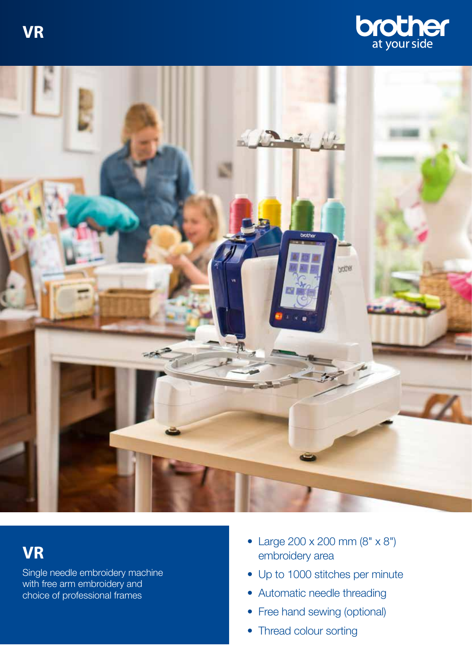**VR** 





## **VR**

Single needle embroidery machine with free arm embroidery and choice of professional frames

- Large 200 x 200 mm (8" x 8") embroidery area
- Up to 1000 stitches per minute
- Automatic needle threading
- Free hand sewing (optional)
- Thread colour sorting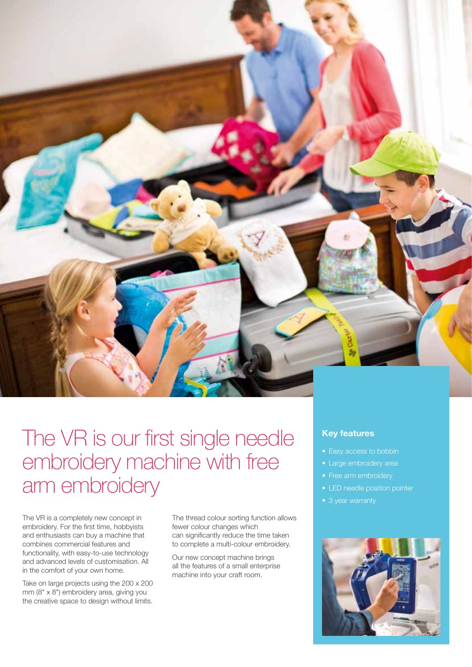

## The VR is our first single needle embroidery machine with free arm embroidery

The VR is a completely new concept in embroidery. For the first time, hobbyists and enthusiasts can buy a machine that combines commercial features and functionality, with easy-to-use technology and advanced levels of customisation. All in the comfort of your own home.

Take on large projects using the 200 x 200 mm (8" x 8") embroidery area, giving you the creative space to design without limits.

The thread colour sorting function allows fewer colour changes which can significantly reduce the time taken to complete a multi-colour embroidery.

Our new concept machine brings all the features of a small enterprise machine into your craft room.

### **Key features**

- 
- 
- 
- LED needle position pointer
- 3 year warranty

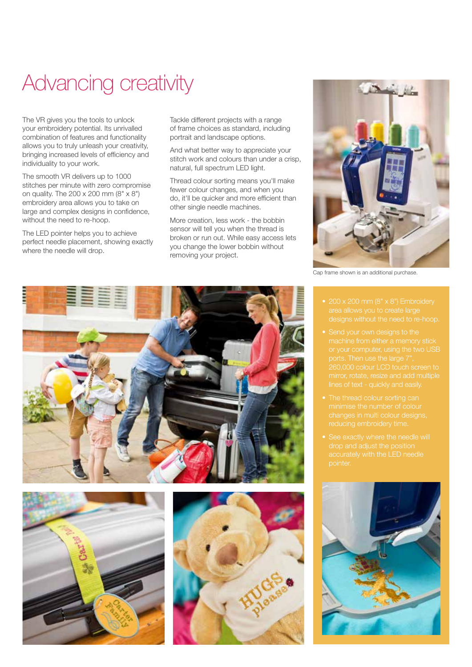# Advancing creativity

The VR gives you the tools to unlock your embroidery potential. Its unrivalled combination of features and functionality allows you to truly unleash your creativity, bringing increased levels of efficiency and individuality to your work.

The smooth VR delivers up to 1000 stitches per minute with zero compromise on quality. The 200 x 200 mm (8" x 8") embroidery area allows you to take on large and complex designs in confidence, without the need to re-hoop.

The LED pointer helps you to achieve perfect needle placement, showing exactly where the needle will drop.

Tackle different projects with a range of frame choices as standard, including portrait and landscape options.

And what better way to appreciate your stitch work and colours than under a crisp, natural, full spectrum LED light.

Thread colour sorting means you'll make fewer colour changes, and when you do, it'll be quicker and more efficient than other single needle machines.

More creation, less work - the bobbin sensor will tell you when the thread is broken or run out. While easy access lets you change the lower bobbin without removing your project.



Cap frame shown is an additional purchase.

- 
- 
- 
- 







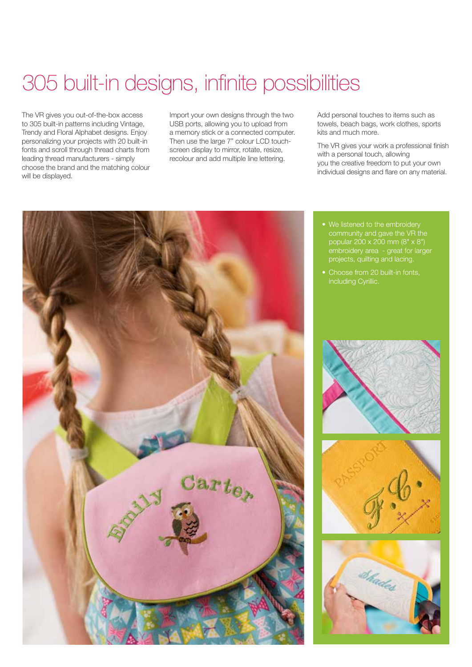# 305 built-in designs, infinite possibilities

The VR gives you out-of-the-box access to 305 built-in patterns including Vintage, Trendy and Floral Alphabet designs. Enjoy personalizing your projects with 20 built-in fonts and scroll through thread charts from leading thread manufacturers - simply choose the brand and the matching colour will be displayed.

Import your own designs through the two USB ports, allowing you to upload from a memory stick or a connected computer. Then use the large 7" colour LCD touchscreen display to mirror, rotate, resize, recolour and add multiple line lettering.

Add personal touches to items such as towels, beach bags, work clothes, sports kits and much more.

The VR gives your work a professional finish with a personal touch, allowing you the creative freedom to put your own individual designs and flare on any material.



- We listened to the embroidery community and gave the VR the popular 200 x 200 mm (8" x 8") embroidery area - great for larger
- 





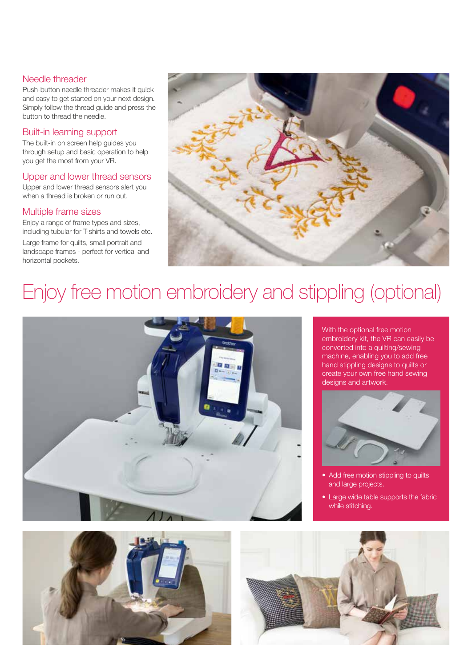#### Needle threader

Push-button needle threader makes it quick and easy to get started on your next design. Simply follow the thread guide and press the button to thread the needle.

### Built-in learning support

The built-in on screen help guides you through setup and basic operation to help you get the most from your VR.

### Upper and lower thread sensors

Upper and lower thread sensors alert you when a thread is broken or run out.

#### Multiple frame sizes

Enjoy a range of frame types and sizes, including tubular for T-shirts and towels etc.

Large frame for quilts, small portrait and landscape frames - perfect for vertical and horizontal pockets.



## Enjoy free motion embroidery and stippling (optional)



With the optional free motion embroidery kit, the VR can easily be converted into a quilting/sewing machine, enabling you to add free hand stippling designs to quilts or create your own free hand sewing designs and artwork.



- Add free motion stippling to quilts and large projects.
- Large wide table supports the fabric while stitching.



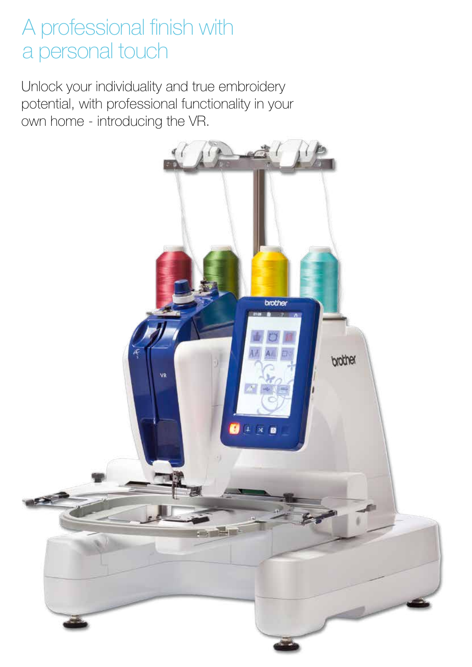## A professional finish with a personal touch

Unlock your individuality and true embroidery potential, with professional functionality in your own home - introducing the VR.

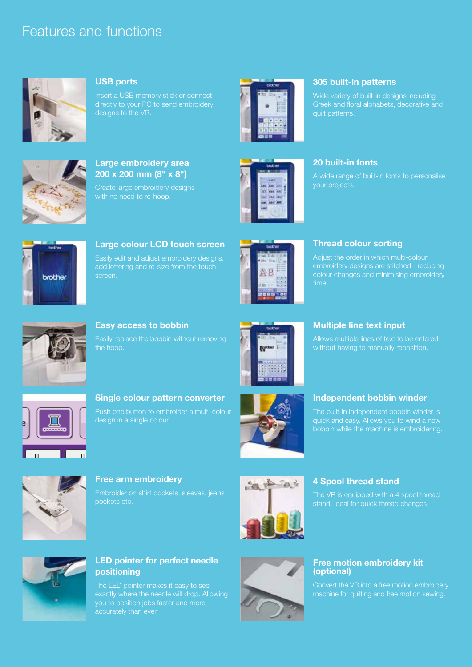## Features and functions



#### **USB ports**

Insert a USB memory stick or connect directly to your PC to send embroidery designs to the VR.



## **Large embroidery area 200 x 200 mm (8" x 8")**

Create large embroidery designs



#### **305 built-in patterns**

Wide variety of built-in designs including Greek and floral alphabets, decorative and quilt patterns.



#### **20 built-in fonts**

A wide range of built-in fonts to personalise



## **Large colour LCD touch screen**  Easily edit and adjust embroidery designs, screen.



#### **Thread colour sorting**

Adjust the order in which multi-colour embroidery designs are stitched - reducing colour changes and minimising embroidery time.



#### **Easy access to bobbin**

Easily replace the bobbin without removing



## **Multiple line text input**

Allows multiple lines of text to be entered



#### **Single colour pattern converter**  Push one button to embroider a multi-colour design in a single colour.



#### **Independent bobbin winder**

The built-in independent bobbin winder is bobbin while the machine is embroidering.



#### **Free arm embroidery**

pockets etc.



### **4 Spool thread stand**

The VR is equipped with a 4 spool thread stand. Ideal for quick thread changes.



#### **LED pointer for perfect needle positioning**

The LED pointer makes it easy to see exactly where the needle will drop. Allowing you to position jobs faster and more accurately than ever.



#### **Free motion embroidery kit (optional)**

Convert the VR into a free motion embroidery